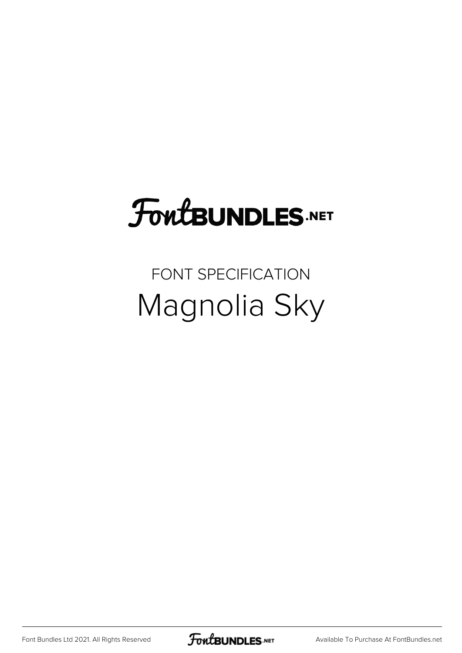## FoutBUNDLES.NET

## FONT SPECIFICATION Magnolia Sky

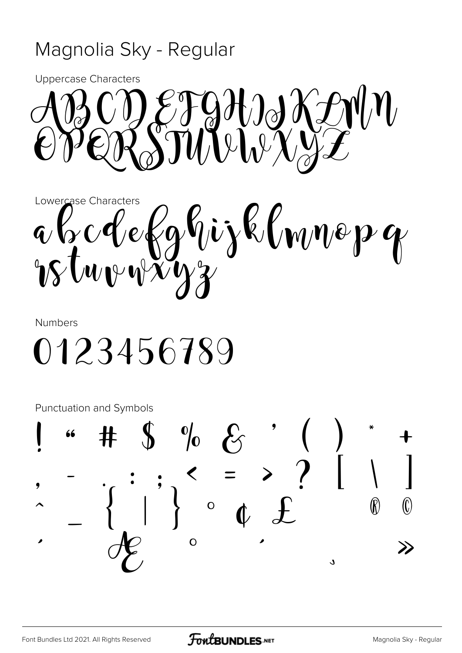## Magnolia Sky - Regular

**Uppercase Characters** 



Lowercase Characters a b c d e fghijk lwnep g

**Numbers** 

0123456789

Punctuation and Symbols

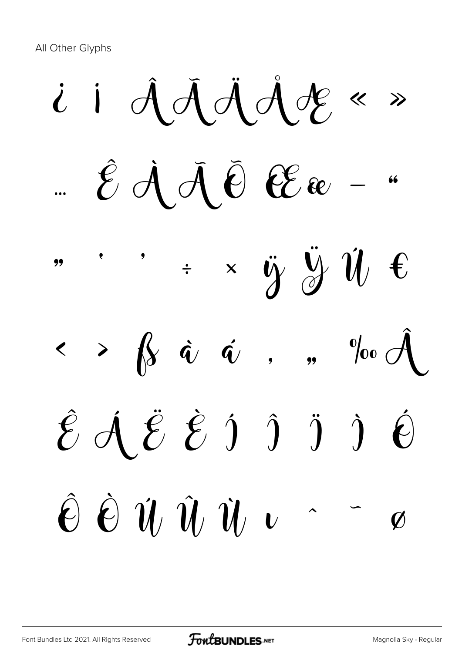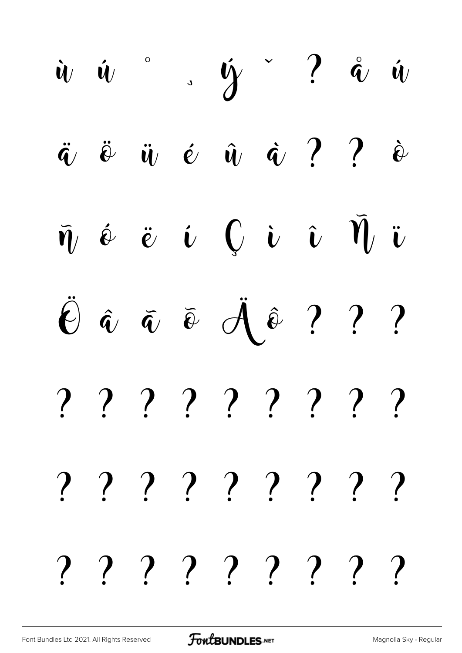